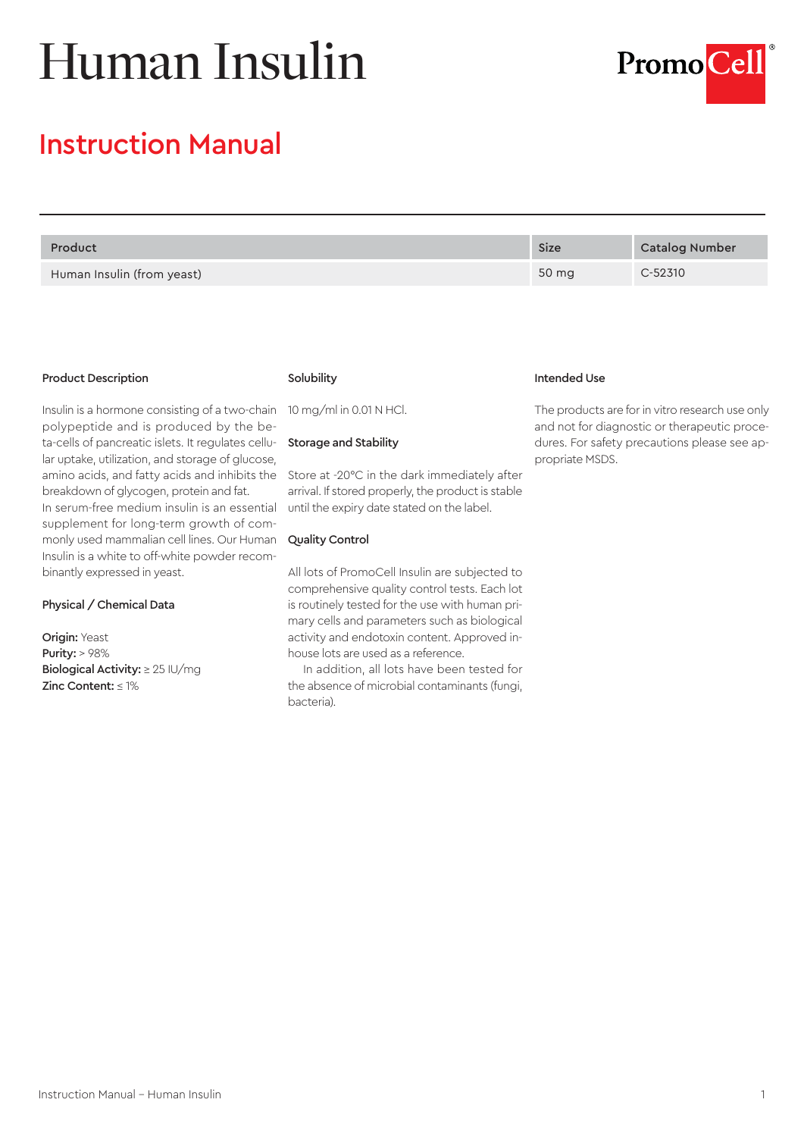# Human Insulin



# Instruction Manual

| Product                    | <b>Size</b> | Catalog Number |
|----------------------------|-------------|----------------|
| Human Insulin (from yeast) | 50 mg       | $C-52310$      |

#### Product Description

Insulin is a hormone consisting of a two-chain polypeptide and is produced by the beta-cells of pancreatic islets. It regulates cellular uptake, utilization, and storage of glucose, amino acids, and fatty acids and inhibits the breakdown of glycogen, protein and fat. In serum-free medium insulin is an essential supplement for long-term growth of commonly used mammalian cell lines. Our Human Insulin is a white to off-white powder recombinantly expressed in yeast.

#### Physical / Chemical Data

Origin: Yeast Purity: > 98% Biological Activity: ≥ 25 IU/mg Zinc Content: ≤ 1%

## Solubility

10 mg/ml in 0.01 N HCl.

#### Storage and Stability

Store at -20°C in the dark immediately after arrival. If stored properly, the product is stable until the expiry date stated on the label.

# Quality Control

All lots of PromoCell Insulin are subjected to comprehensive quality control tests. Each lot is routinely tested for the use with human primary cells and parameters such as biological activity and endotoxin content. Approved inhouse lots are used as a reference.

In addition, all lots have been tested for the absence of microbial contaminants (fungi, bacteria).

# Intended Use

The products are for in vitro research use only and not for diagnostic or therapeutic procedures. For safety precautions please see appropriate MSDS.